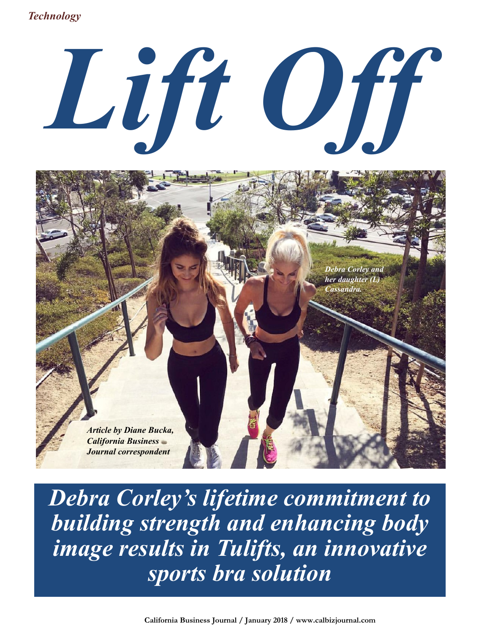*Technology*





*Debra Corley's lifetime commitment to building strength and enhancing body image results in Tulifts, an innovative sports bra solution*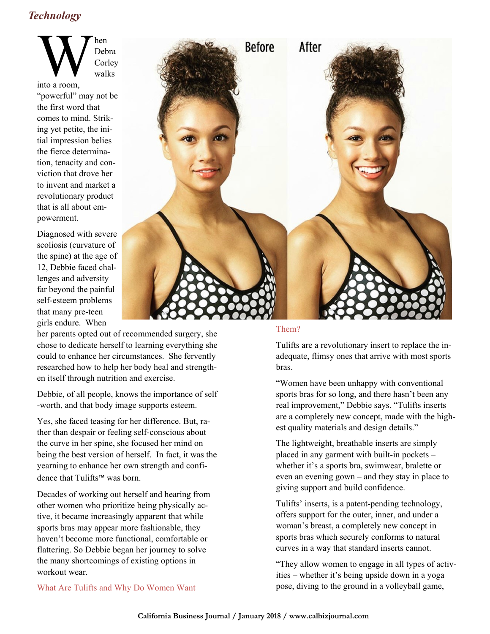## *Technology*

 $\mathbf{W}$ hen Debra Corley walks

into a room, "powerful" may not be the first word that comes to mind. Striking yet petite, the initial impression belies the fierce determination, tenacity and conviction that drove her to invent and market a revolutionary product that is all about empowerment.

Diagnosed with severe scoliosis (curvature of the spine) at the age of 12, Debbie faced challenges and adversity far beyond the painful self-esteem problems that many pre-teen girls endure. When



her parents opted out of recommended surgery, she chose to dedicate herself to learning everything she could to enhance her circumstances. She fervently researched how to help her body heal and strengthen itself through nutrition and exercise.

Debbie, of all people, knows the importance of self -worth, and that body image supports esteem.

Yes, she faced teasing for her difference. But, rather than despair or feeling self-conscious about the curve in her spine, she focused her mind on being the best version of herself. In fact, it was the yearning to enhance her own strength and confidence that Tulifts™ was born.

Decades of working out herself and hearing from other women who prioritize being physically active, it became increasingly apparent that while sports bras may appear more fashionable, they haven't become more functional, comfortable or flattering. So Debbie began her journey to solve the many shortcomings of existing options in workout wear.

#### Them?

Tulifts are a revolutionary insert to replace the inadequate, flimsy ones that arrive with most sports bras.

"Women have been unhappy with conventional sports bras for so long, and there hasn't been any real improvement," Debbie says. "Tulifts inserts are a completely new concept, made with the highest quality materials and design details."

The lightweight, breathable inserts are simply placed in any garment with built-in pockets – whether it's a sports bra, swimwear, bralette or even an evening gown – and they stay in place to giving support and build confidence.

Tulifts' inserts, is a patent-pending technology, offers support for the outer, inner, and under a woman's breast, a completely new concept in sports bras which securely conforms to natural curves in a way that standard inserts cannot.

"They allow women to engage in all types of activities – whether it's being upside down in a yoga pose, diving to the ground in a volleyball game,

What Are Tulifts and Why Do Women Want